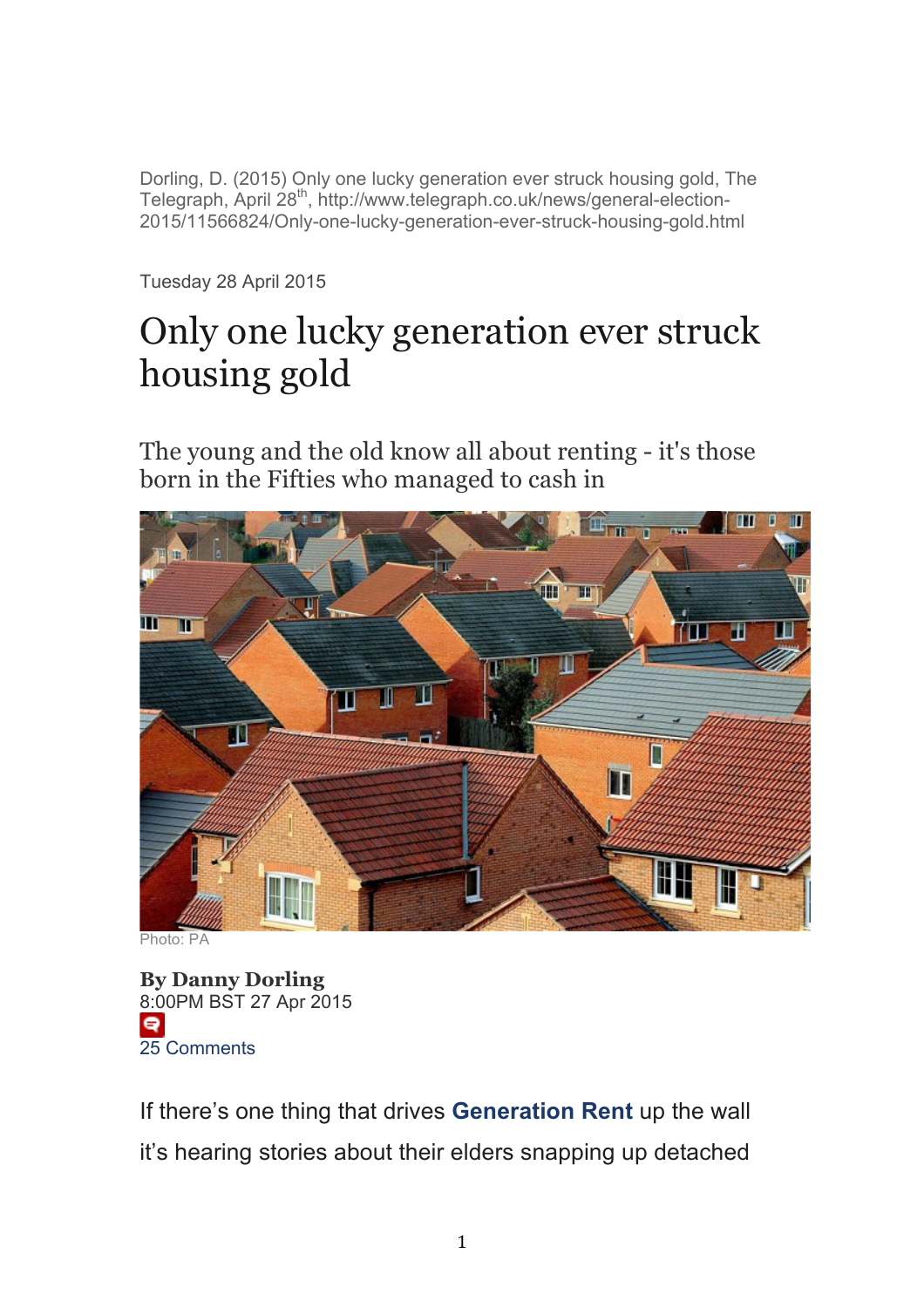Dorling, D. (2015) Only one lucky generation ever struck housing gold, The Telegraph, April 28<sup>th</sup>, http://www.telegraph.co.uk/news/general-election-2015/11566824/Only-one-lucky-generation-ever-struck-housing-gold.html

Tuesday 28 April 2015

## Only one lucky generation ever struck housing gold

The young and the old know all about renting - it's those born in the Fifties who managed to cash in



Photo: PA

**By Danny Dorling** 8:00PM BST 27 Apr 2015  $\bullet$ 25 Comments

If there's one thing that drives **Generation Rent** up the wall it's hearing stories about their elders snapping up detached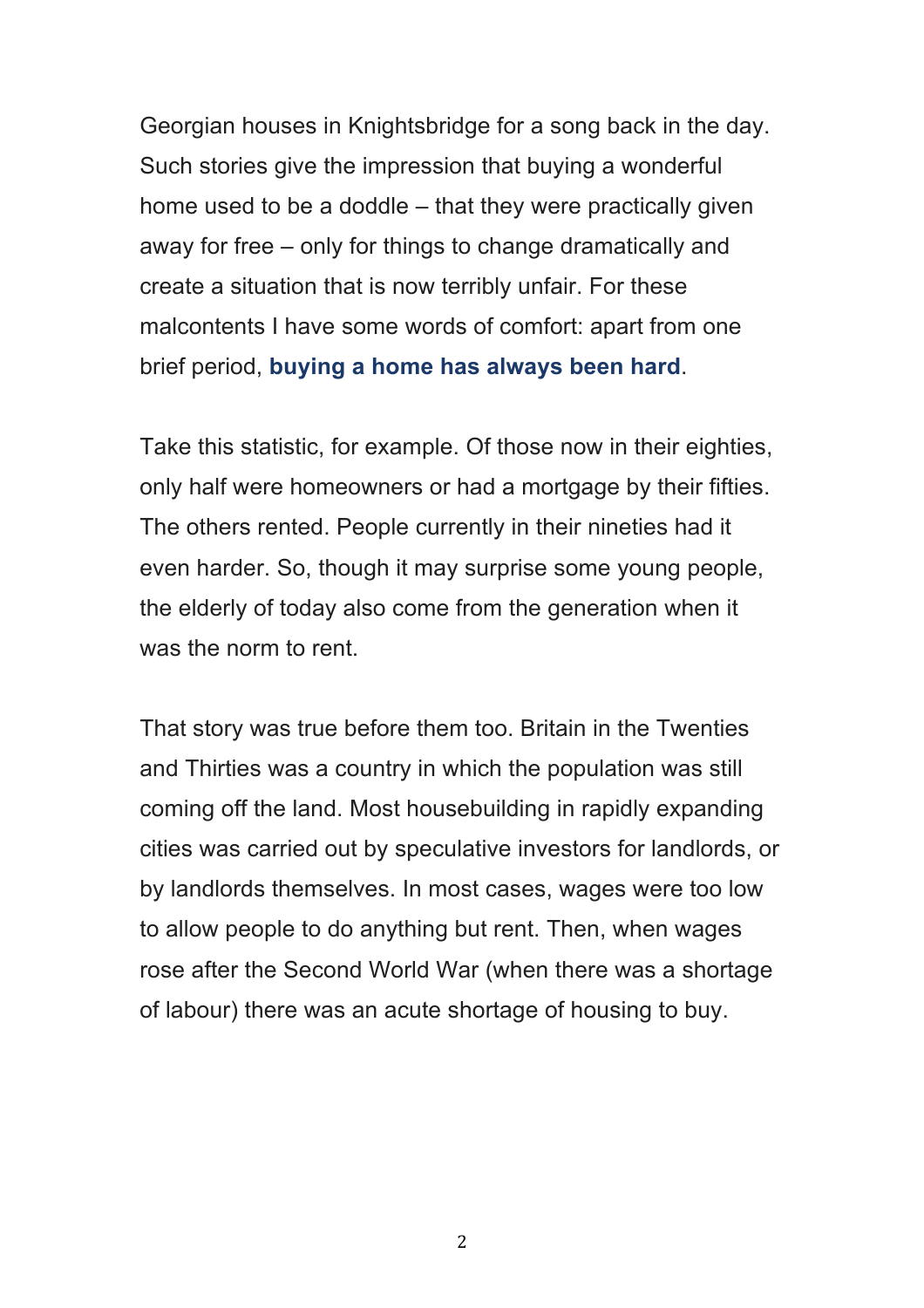Georgian houses in Knightsbridge for a song back in the day. Such stories give the impression that buying a wonderful home used to be a doddle – that they were practically given away for free – only for things to change dramatically and create a situation that is now terribly unfair. For these malcontents I have some words of comfort: apart from one brief period, **buying a home has always been hard**.

Take this statistic, for example. Of those now in their eighties, only half were homeowners or had a mortgage by their fifties. The others rented. People currently in their nineties had it even harder. So, though it may surprise some young people, the elderly of today also come from the generation when it was the norm to rent.

That story was true before them too. Britain in the Twenties and Thirties was a country in which the population was still coming off the land. Most housebuilding in rapidly expanding cities was carried out by speculative investors for landlords, or by landlords themselves. In most cases, wages were too low to allow people to do anything but rent. Then, when wages rose after the Second World War (when there was a shortage of labour) there was an acute shortage of housing to buy.

2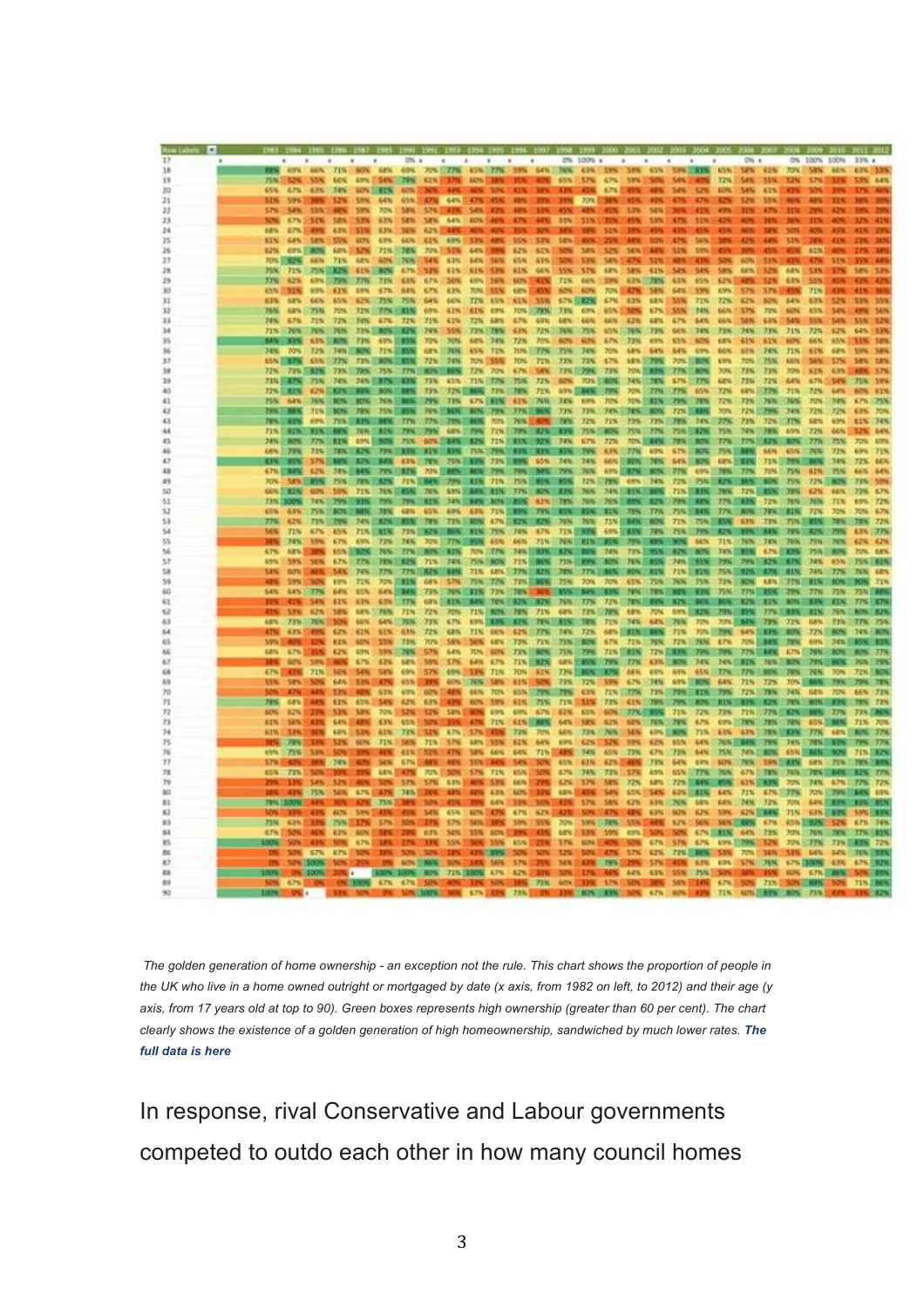|          |                           |                                                |                                            |                                          | 1981 1984 1980 1986 1987 1989 |                           |                                       |                         |                            |                                     | 1990 1991 1993 1994 1995 1996 1997 1998 1999 1900 2001 1002 1003 2004 1005 2004 10 |                         |                    |                                   |                           |                                  |                                 |                                   |                    |                             |                                  |                    |                            |                                                    |                           |                                         |
|----------|---------------------------|------------------------------------------------|--------------------------------------------|------------------------------------------|-------------------------------|---------------------------|---------------------------------------|-------------------------|----------------------------|-------------------------------------|------------------------------------------------------------------------------------|-------------------------|--------------------|-----------------------------------|---------------------------|----------------------------------|---------------------------------|-----------------------------------|--------------------|-----------------------------|----------------------------------|--------------------|----------------------------|----------------------------------------------------|---------------------------|-----------------------------------------|
|          |                           |                                                |                                            |                                          |                               | D% a                      |                                       |                         |                            | $\ddot{\phantom{1}}$                | $\rightarrow$                                                                      |                         |                    | CNL 100% v                        |                           |                                  |                                 | ٠                                 |                    |                             | DN. 4                            |                    |                            | ON 100N 100N                                       |                           | 33% +                                   |
|          | 71%                       | <b>SPR 55K</b>                                 | 60%                                        | <b>TIN ACTS ARM</b>                      | <b>EPN SEN 79%</b>            |                           | <b>49% 70% 77%</b><br><b>GTN DOWN</b> |                         | <b>ROW</b>                 |                                     | 45% 77% 10% 64%                                                                    |                         | <b>GNN</b>         | 74% 43% AVW<br><b>STN</b>         | 47%                       | -53%                             | 50%                             | 65% SPA 83% 65%<br><b>Sex 3</b>   |                    | 32%                         | <b>SPN 42N</b><br><b>SAN 55N</b> |                    | 52%                        | 70% MW ACN<br>576                                  |                           |                                         |
|          | 65%                       | 67%                                            | 6.2%<br>74%                                |                                          | <b>ROW HTM</b>                | <b>CONC.</b>              |                                       |                         |                            |                                     |                                                                                    |                         | 439                | 41%                               | 67%                       |                                  |                                 | 54%                               | 5,7%               | <b>CON</b>                  | 54%                              | 63%                |                            | <b>SON</b>                                         |                           |                                         |
|          | us                        | 59%                                            | 12%                                        | <b>SON</b>                               | 64%                           | 65%                       | 47%                                   | 64%                     |                            |                                     | 12%                                                                                |                         | 33%                | 70%                               |                           |                                  |                                 | 47%                               | 47%                | 676                         | <b>SZW</b>                       | 55%                |                            |                                                    |                           |                                         |
|          | 57%                       | <b>SZN</b><br>555                              |                                            | <b>S/SPN</b>                             | 70%                           | <b>SAN</b>                | 576                                   |                         | 54%                        |                                     |                                                                                    |                         |                    |                                   |                           | us                               | 54%                             |                                   | 429                | <b>AVEN</b>                 | <b>ITN</b>                       | 47%                | ш                          | 2014                                               | 42%                       |                                         |
|          | <b>MM</b><br>68%          | 67%<br>52%<br>67%<br>439                       | <b>SEN</b><br>6.7%                         | <b>ATM</b><br><b>SIM</b>                 | 63%<br>6.3%                   | <b>SEN</b><br>34%         | 38%<br>62%3                           | 64%                     | <b>SIDS</b>                |                                     | 4.7%                                                                               | <b>ARN</b>              | 10%<br>145         | 51%                               | m<br>55%                  |                                  | 53%                             | 47%<br>439                        | <b>11%</b>         | 42%                         |                                  | ю<br>m             | <b>SON</b>                 | 31%                                                | 43%                       | 41%<br>43%<br>m                         |
|          | 61%                       | <b>GEN</b>                                     | 5.251<br>57.96                             | <b>ACTS</b>                              | 63%                           | <b>GON</b>                | 61%                                   | 4.9%                    | 57%                        | 42%                                 | 105                                                                                | 5.2%                    | <b>SEN</b>         |                                   |                           |                                  | <b>MON</b>                      | 47%                               | <b>TATA</b>        |                             | <b>C2W</b>                       | 44%                | <b>STA</b>                 |                                                    | <b>CEN</b>                |                                         |
|          | 62%                       | 69% 5<br><b>FIRE</b>                           | <b>LO'S</b>                                | 1,7%                                     | 71%                           | 78%                       | 70%                                   | -53%                    | 64%                        |                                     | 62%                                                                                | 61%                     | 50%                | <b>SIEN</b>                       | 525                       | 54%                              | EIN                             | 51%                               | SIM                |                             |                                  | 451                |                            | A1%                                                |                           | 387                                     |
| n        | <b>70% BRPK</b>           | <b>SATS</b>                                    | 71%                                        | 62%                                      | 60%                           | 76%                       | 54%                                   | 63%                     | <b>GEN</b>                 | 56%                                 | 65%                                                                                | 63%                     |                    | <b>STW</b>                        | <b>SAN</b>                |                                  | SIN                             | <b>ABN</b>                        | m                  | <b>SONI</b>                 | 40%                              | 535                | 43%                        | 47%                                                | <b>STN</b>                | 46                                      |
| 79<br>3% | 75%<br>779                | 71%<br>62%                                     | 75%<br><b>Line</b><br>4,9%<br><b>TOTAL</b> | <b>ATW </b><br>1775                      | <b>TOW</b><br>73%             | 67%<br>63%                | <b>STE</b><br>67%                     | 63%<br>50%              | 65%                        | 61% S.PK<br>36%                     | 61%<br><b>SON</b>                                                                  | 64%<br>41%              | 55%<br>72%         | 57%<br>66%                        | 6.8%<br>59%               | saw<br>主字写                       | 61%<br><b>ATTACK</b>            | 54%<br>63%                        | 54%<br>65%         | 58%<br>62%                  | 64%<br>42%                       | 3.2%<br>5.2%       | 64%<br>63%                 | 535<br>31%                                         | 57%<br>41 N               | tanc<br>5.75<br>425                     |
|          | 65%                       | <b>NIN</b><br>63%                              | 63%                                        | <b>A/S/N</b>                             | 67%                           | 64%                       | 67%                                   | 63%                     |                            | 70% 55%                             | 6.8%                                                                               | 45%                     | 60%                | 60%                               | 70%                       | 47%                              | <b>SIM</b>                      | <b>Sats</b>                       | 5.9%               | 6,13%                       | 57%                              | 57%                | 相应                         | 71%                                                | 4.3%                      | 419<br>m                                |
| 3/1      | 63%                       | <b>EXTL</b><br>66%                             | 65%                                        | 62%                                      | 75%                           | 75%                       | GA'S                                  | 66%                     |                            | 72% 65%                             | 61%                                                                                | 55%                     |                    | 67% IEEE%                         | 67%                       | 5.3%                             | <b>GEN</b>                      | 153%                              | 72%                | $T_{\rm eff}$               | 62%                              | 5.0%               | 64%                        | 62%                                                | 52%                       | 555<br>53%                              |
| 33       | 76%                       | <b>KINS</b><br><b>75%</b>                      | 70%                                        | 72%                                      | 77%                           | E TES                     | <b>GONL</b>                           | 星加地                     | 61%                        | 6.7%                                | <b>70% 78%</b>                                                                     |                         | 7.1%               | 63%                               | 65%                       | 3475                             | 67%                             | SM                                | 74%                | 6676                        | <b>S7%</b>                       | 20%                | 60%                        | 63%                                                | 54%                       | 54%<br>19%                              |
| н        | 74%<br>71%                | 67%<br>76%                                     | 72%<br><b>TIW</b><br><b>FON</b><br>79.75   | <b>Text</b><br>73%                       | 6.7%<br><b>BON</b>            | 71%<br>n m                | 71%<br>74%                            | 東京知<br>55%              |                            | TIN ERN<br><b>73% 1.8%</b>          | 4.7%<br>63%                                                                        | 678<br>72%              | <b>4.8%</b><br>74% | 4476<br>75%                       | 44%<br>\$5%               | 62%<br>36%                       | <b>ER%</b><br>71%               | 67%<br>66%                        | <b>6-4%</b><br>74% | <b>GAN</b><br>75%           | <b>1400</b><br>74%               | 4.3%<br>73%        | MN<br>71%                  | <b>SVK</b><br>72%                                  | <b>Safe</b><br>62%        | 1.79<br>55%<br>535<br>64%               |
|          | uч                        | <b>ESTER</b>                                   | 63%<br><b>ALTIL</b>                        | 73W                                      | 69%                           | <b>CON</b>                | <b>TOWN</b>                           | XM                      | <b>GIFTS</b>               | 34%                                 | 77%                                                                                | 209                     | $40\%$             | <b>ELTS</b>                       | 67%                       | 77%                              | 6.9%                            | <b>KVK</b>                        | 60%                | 6.8%                        | 61%                              | 45%                | <b>BON</b>                 | 66%                                                | <b>65N</b>                | 5350<br>5.8%                            |
|          | 74%                       | <b>TOWN</b>                                    | 72%                                        | <b>FAIRS IN BOTH</b>                     | <b>FINE</b>                   | 1979                      | 4.9%                                  | 17094                   | 4,5,760                    | 77.5                                | <b>JUNE</b>                                                                        | 77%                     | <b>75%</b>         | 74%                               | 70%                       | 6,8%                             | 64%                             | <b>BANK</b>                       | 4.9%               | 66%                         | ATN.                             | 74%                | 71%                        | <b>SIN</b>                                         | 6,8%                      | <b>SAN</b><br><b>UPS</b>                |
|          | 65% EX7%                  | 45%                                            | $\overline{113}$                           | <b>73%</b>                               | <b>BON</b>                    | <b>ALC:</b>               | 72%                                   | 54N                     | <b>TON!</b>                | 9555                                | <b>JON</b>                                                                         | 21%                     | 72%                | 73%                               | 62%                       |                                  | <b>LETA SCITERE</b>             | <b>70% II</b>                     | <b>DON</b>         | <b>CO'N</b>                 | <b>70%</b>                       | 25%                | 66%                        | 54%                                                | 57%                       | 3.8%<br><b>SAN</b>                      |
|          | 72%<br><b>ZIN EATS</b>    | $22n$ S                                        | <b>EXIS</b><br>75%<br>74%                  | <b>TAN TIME</b><br>24%                   | 25N<br><b>ITS</b>             | 7793<br><b>TIN</b>        | <b>REFERE</b><br>73%                  | MR.<br>45%              | 73%<br><b>71% : 77%</b>    | <b>20%</b>                          | 6.7%<br>75%                                                                        | <b>Simi</b><br>22%      | <b>ADN</b>         | 73% 1/29%                         | 77%<br><b>YO'N SIRONS</b> |                                  | <b>JON 3 RING</b><br>74% (178%) | 27%<br>57%                        | <b>ROOM</b><br>77% | 70%<br>an.                  | 75%<br><b>73%</b>                | 22%<br>72%         | <b>TOWN</b><br><b>GIN</b>  | <b>STN</b><br>57%                                  | 63%<br>54%                | 3.7%<br>15%<br><b>AVS</b>               |
|          | 72%                       | <b>CITY</b>                                    | 4.7%3<br><b>CONTRACTOR</b>                 | <b>ELITS</b>                             | <b>DOM:</b>                   | <b>ALL</b>                | 73%                                   | <b>72% E MON</b>        |                            |                                     | <b>JON CONNE</b>                                                                   | 71%                     |                    | <b>49% EUMX</b>                   | 79%                       |                                  | <b>20% SIZZIN</b>               | 77%                               | 65%                | 72%                         | sans)                            | 77%                | 功能                         | 72%                                                | <b>GAN</b>                | <b>GITNE</b><br>43%                     |
|          | 75%                       | 6kW.                                           |                                            | 74% 80% 80%                              | 36%SL                         |                           | <b>ATW</b>                            | <b>TIN</b>              |                            | <b>APS THEN</b>                     | 61%                                                                                | 74%                     | <b>34%</b>         | <b>GIFN</b>                       | 70%                       |                                  | <b>NHA TERINA</b>               | 79%                               | 7DV                | 72%                         | 73%                              | 70%                | <b>NV</b>                  | 70%                                                | 74%                       | 75%<br><b>CPN</b>                       |
|          | 7951                      | <b>CD</b>                                      | 71%<br><b>GIFTS</b>                        | <b>ROW THE</b>                           | 25%<br>m                      | LYN                       |                                       | <b>76% DON</b>          |                            |                                     | RON 79% TPS                                                                        |                         | 73%                | 73%                               | 74%                       | 11%                              | <b>BOOK</b>                     | 72%)                              | Œ                  | <b>YON</b>                  | 72%                              | 79%                | <b>Jew</b>                 | 72%                                                | <b>22%</b><br><b>USA</b>  | 3th<br><b>C.PN</b><br><b>34N</b><br>63% |
|          | <b>79% MINE</b><br>71%    | пы                                             | m                                          | 75% SERIES<br><b>THIN</b>                | m                             | 77%<br>79%                | 73N                                   | 775 - 795<br><b>LEV</b> | <b>CLOSE</b><br><b>TYN</b> |                                     | <b>70% 2 76%  </b><br>TIN TYN RZN                                                  |                         | 72%<br><b>TERR</b> | 72%<br>75%                        | <b>71%</b><br><b>ATM</b>  | 72%                              | 73%<br>75% 177%                 | 73%<br>29%                        | 24%<br>m           | 27%<br>7576                 | 72%<br>74%                       | 72%<br>78%         | <b>TIN</b><br><b>KISHN</b> | filth.<br>72%                                      | 66%                       | 64%                                     |
|          | 24%                       | <b>Alima</b>                                   | ms<br><b>P.F.S.S</b>                       | <b>AD%1</b>                              | 5303                          | 71 <sub>N</sub>           |                                       | <b>GON E. BANK</b>      | 22%                        |                                     | 71% RIN 97%                                                                        |                         | 74%                | KT%                               | 72%                       | <b>70% S</b>                     | <b>CANE</b>                     | <b>78%</b>                        | DOM:               | 77%                         | m                                | <b>CARS</b>        | <b>ROOM</b>                | 77%                                                | 75%                       | <b>ATPS</b>                             |
|          | 68%                       | <b>33%</b>                                     | 31N                                        | THE U.S.                                 | 77%                           | ш                         |                                       | ATN HIN                 |                            |                                     | <b>ISS THE END</b>                                                                 |                         | m                  | 79%                               | 6.7%                      | 才加                               | 6/5/5                           | 67%                               | <b>NONE</b>        |                             | <b>79% SLAVIA</b>                | 66%                | 65%                        | 70%                                                | 77%                       | <b>TIN</b>                              |
|          | ПS<br>67% E               | m                                              | 57%<br><b>EZN</b>                          | <b>MNS BAN</b>                           | <b>APS 1476</b><br>79%        | 63%<br>口答                 | <b>TEN 75% ETN</b><br>70%             |                         |                            |                                     | 72% B.R/W<br><b>BEN ACH, 79% 79% DEN</b>                                           | <b>SVS</b>              | 74%<br>79%         | 34%<br>76%                        | 66% D<br>69%              | <b>BOW</b><br>ΠN                 | 78%<br><b>BOW</b>               | 64%<br>77%                        | <b>BOW</b><br>69%  |                             | <b>GENERAL BEAM</b><br>TWN 77%   | 71%<br>70%         | 7003<br>TIN                | 62N                                                | 34%<br><b>TV</b>          | 12%<br>66%<br>645                       |
|          | 70%                       | <b>Sans</b> 1                                  |                                            | 75 N.S<br><b>TELES</b>                   | n an                          |                           | 71% 34% 79% 81%                       |                         |                            | 22%                                 | 75% IL ROW                                                                         |                         | ANS.               | 72%                               | 97.TV                     | 69%                              | <b>TANK</b>                     | 72%                               | 75%                | 773                         | ma                               | n an               | 75%                        | 72%                                                | <b>ATT</b>                | <b>FIN</b><br>599                       |
|          | 66% SI                    | 155                                            | 59%                                        | 71%                                      |                               | <b>76% 0 85%</b>          | 76%                                   |                         |                            |                                     | SING BANK RING TIN BONG                                                            |                         | 2255               | <b>TWN</b>                        |                           | 74% 5.81%                        | 16%                             | <b>71% B</b>                      | <b>ATN</b>         | 3816                        | 72% 85%                          |                    | 78%                        | 62%                                                | 66%                       | 6.7%<br>73%                             |
|          | <b>72%3</b>               |                                                | 74%                                        | <b>NW</b>                                |                               | <b>295 795</b>            | ETES.                                 | <b>74N1</b>             | <b>CATTLE</b>              |                                     | <b>BON HOW SIN</b>                                                                 |                         | <b>TITLE</b>       | 79%                               | 76%3                      |                                  | <b>RW RW</b>                    |                                   | <b>79% S.B.W.</b>  |                             | <b>TTN E RITH</b>                | 72%                | 76%                        | 76N                                                | 72%                       | 72%                                     |
|          | 65%<br>77%                | 63%<br>62%                                     | 75%<br>72%<br>725                          | <b>SON</b><br><b>EFS</b><br>74%          | 78%<br><b>TRIS</b>            | 42%                       | 63%<br>78%                            | 4.9%<br>(73%)           | EPS.<br><b>ROW</b>         |                                     | 71% S 89%<br>67% B 82%                                                             | 275<br>1500             | 2553               | 153<br>7876 7676                  |                           | <b>ATN TWO TPN</b><br>71% MW ROW |                                 | <b>75% E.BEN</b><br>71%           | 75%                | <b>ASS</b>                  | 77% 32%<br>5.3%                  | 78%<br>22%         | <b>FIN</b><br>73%          | 72%<br>1994                                        | 35%<br>78%                | 6.7%<br><b>TUNG</b><br>72%              |
|          | <b>SAN</b>                | 71%                                            | 6.7%                                       | 65%<br>71%                               | <b>TERS</b>                   | 23% II                    | 1989                                  | MB                      |                            |                                     | <b>RIN 75% 74%</b>                                                                 | 5.7%                    |                    | 72% 100%                          |                           | 49% EXXV 78%                     |                                 | 75%                               | 79%                | <b>CANT</b>                 |                                  | m                  |                            | <b>JUNE 1875</b>                                   | 2095                      | - 225<br>6. DK.                         |
|          |                           | 74%<br>19%                                     |                                            | 67%<br>4/9%                              | 77%                           | 74%                       | 70%                                   | <b>E</b> FANT           |                            | 45%                                 | <b>66%</b>                                                                         | $-71%$                  |                    | 76% 21%                           | <b>PART</b>               | 27%                              | 32%                             | <b>DOM:</b>                       | 44%                |                             | 71% 3176%                        | 74%                | <b>TUN</b>                 | 78W                                                | 70%                       | 62%<br>6,216.                           |
|          | 67%<br>63%                | <b>BAYS</b><br><b>SWN</b>                      | 6.7%<br><b>MAN</b>                         | 65% B<br>F.F.                            | 75%<br>First.                 | TTN<br>2316               | 80%<br>71%                            | <b>ATTLE</b><br>$-244$  |                            | tos (ITES)<br><b>JUNE 1, NON</b>    | 74%<br>71% BBOW                                                                    | ET TW                   |                    | <b>82% BOX 74%</b><br>75% RPM ADM |                           |                                  | 76% E.BSW                       | 73% 35% 87%<br>74% II             | <b>BON</b><br>ET U |                             | <b>TAN ERIN</b><br>29% 29%       | 6.7% 8<br>CH 13    | <b>TIME</b><br>D.T         | 75%<br>74%                                         | 50%<br>85%                | ERN<br>7174.<br>75% E81%                |
|          | MN                        | <b>GO'N</b>                                    |                                            | sav<br><b>74%</b>                        | 77%                           | 77.78                     | <b>TEN</b>                            | <b>BANK</b>             |                            |                                     | 71% LEN 77% R2%                                                                    |                         |                    | 78% 77%                           | <b>LUNIS</b>              |                                  | <b>POW RIW</b>                  |                                   | <b>71% BEDNE</b>   |                             | <b>TSN ENTIRE</b>                | 2.543              | шч                         | <b>74%</b>                                         | 77%                       | <b>7676 62%</b>                         |
|          |                           | 59%                                            | 4,0%                                       | <b>72%</b>                               | <b>20% E</b>                  | r nu                      | darw.                                 | 1.7%                    |                            | 75% TZN                             | <b>TIN E BUK</b>                                                                   |                         | 75N.               | 70%                               | <b>70%</b>                |                                  | <b>45% C.TUN</b>                | <b>TON TIME</b>                   |                    |                             | <b>73% 3.80%</b>                 | <b>ARTIC</b>       | FAR 1                      | пы                                                 | mon                       | 719                                     |
|          | <b>GEN</b>                | <b>GAYS</b><br>77%<br><b>SHN</b><br><b>ATN</b> | Edni,<br>61%                               | 105/66<br><b>K3%</b>                     | <b>Kalled</b><br>6.3%         | <b>SENS</b>               |                                       | 73% (176%)              |                            |                                     | <b>EIN 77% 78%</b>                                                                 |                         |                    | T.                                | m<br>72%                  |                                  | <b>TEN FITTENT</b>              | <b>CENT</b>                       | <b>CITY</b>        | MON <sub>3</sub>            | 75% 77%<br><b>COLLE</b>          | <b>ASKS</b>        | <b>BOW II</b>              | 29% 27%<br><b>TIME</b>                             | <b>75 N</b><br><b>CEN</b> | <b>TVN FREN</b><br><b>T7% E 67%</b>     |
|          |                           | <b>SYN</b><br>6.7%                             | <b>SAYS</b>                                | <b>SAYS</b>                              | 76%                           | $71\%$<br>71%             | says (<br>72%                         | Πа<br><b>Time</b>       |                            | <b>LINGUIST</b>                     | 82% 82%<br><b>TIN ROW THY</b>                                                      | 71%                     | 42%                | 76% 77%<br>71%                    | 179%                      | <b>ALCOHOL:</b><br>68%           | <b>JON.</b>                     | DV.                               | <b>SYN BOATS</b>   |                             | <b>795 115</b>                   | <b>TIME</b><br>37% |                            | <b>STA STA</b>                                     | 76%                       | <b>AINS ATM</b>                         |
|          | 68%                       | <b>73%</b>                                     | 30%<br>5/34                                | <b>66%</b>                               | <b>SAN</b>                    | <b>TUN</b>                | 73%                                   | 67%                     | 69%                        | m                                   | <b>TIME</b>                                                                        | 78%                     | <b>STAR</b>        | <b>TEN</b>                        | <b>TIN</b>                | 34%                              |                                 | 64% 76%                           | 20%                |                             | TOTAL STARTING                   | 2375               | 73%                        | <b>KAN</b>                                         | 73%                       | <b>TPS: 75%</b>                         |
|          | 47%                       | <b>Ars.</b>                                    | <b>CZN</b>                                 | 61%                                      | 63%                           | 4,1%                      | 72%                                   | <b>GEN</b>              |                            | 71% GC%                             | <b>62% 77%</b>                                                                     |                         | 74%                | $T2\%$                            | says II                   | m                                | <b>DIST</b>                     | 71%                               |                    |                             | 70% 79% 14% ILE3%                |                    | <b>TON</b>                 | $72\%$                                             | <b>BON</b>                | <b>74% LBUN</b>                         |
|          | <b>SPNT</b><br><b>GMW</b> | 67%<br>ш                                       | ET%<br>m<br>62%                            | <b>GON</b><br><b>4/5/%</b>               | 55%<br><b>SWG</b>             | 71%<br>78%                | 70%<br>57%                            | 58%<br>64%              |                            | <b>SENCIATION</b><br><b>TON BON</b> | <b>T2% 71%</b><br><b>TIN BOW</b>                                                   |                         |                    | 75N 1180W<br><b>71% 79%</b>       | 67%                       | 77%<br><b>71% E RTN</b>          | <b>TON</b>                      | 72%<br><b>72% E RIVE</b>          | 76N<br><b>TIN</b>  | 67%<br>TOW                  | <b>TTN LEWIS</b>                 | <b>70% IEBRNE</b>  | <b>TEN</b>                 | <b>AIRWAY</b><br><b>E7% 78% 10%</b>                | 34%                       | <b>SCULPE</b><br><b>ROS 37%</b>         |
|          |                           | <b>GON</b>                                     | 5,4%                                       | 676                                      | 63%                           | 68%                       | <b>SIVE</b>                           | 57%                     |                            | 64% 67%                             | <b>TIN ERTN</b>                                                                    |                         |                    |                                   | GEN HENRY TWO             | 7718                             |                                 | <b>GON IDROW</b>                  | 74%                |                             | NS HIS NS                        |                    |                            | <b>BON 77N AUK</b>                                 |                           | <b>20% 1.29%</b>                        |
|          | <b>ETW</b>                | <b>ATM</b>                                     | 71%<br>52%                                 | SANC                                     | 5.8%                          | <b>CON</b>                | 57%                                   | 65%                     |                            | <b>13% 71%</b>                      | <b>70%</b>                                                                         | <b>AIN</b>              |                    | 72% Bl/W                          | <b>ERAN</b>               | 66%                              |                                 | 69% 69%                           | 45%                |                             | $TPR$ $TPR$                      | ▬                  |                            | 78% 76%                                            | 70%                       | $T/T$ is $R/T$                          |
|          | MW.                       | <b>Sark</b><br>ūл                              | <b>GANG</b>                                | 3.3%<br><b>CONTINENT</b>                 | <b>CN</b><br>63%              | 45%<br><b>GYPS</b>        | <b>THE</b><br>60%                     | 60%<br>42%              | 66%                        | 76% LES<br><b>TON</b>               | 6151<br>65% III 79%                                                                | <b>SON</b>              |                    | 73% 72%<br>79% E1%                | <b>Link</b><br>72%        | 67%<br>THA                       |                                 | <b>74% 69% 80%</b><br>72% 72% #2% |                    | GANG.                       | 71%<br><b>79% 72% 78%</b>        | 72%                |                            | <b>TON E BATE</b><br>74% GB%                       | 29%<br>70%                | 66% 73%                                 |
|          | 78%                       | 68%                                            | 48%<br>ET%:                                | 4.5%                                     | 54%                           | 42%                       | 63%                                   | 43%                     |                            | 60% 59%                             | 61% 75%                                                                            |                         |                    | 71% S1%                           | 713                       |                                  |                                 | <b><i>ASS FORMS PAINT</i></b>     |                    | <b>The Second</b>           |                                  | <b>TANK</b>        |                            | 78% NYL 83%                                        |                           | <b>70% 72%</b>                          |
|          | 50%                       | 82%<br>339                                     |                                            | <b>STK STK</b>                           | 20%                           | 52%                       | 12%                                   | 52%                     | 40%                        | 69%                                 | <b>CON</b>                                                                         | 67%                     | 63%                | 65%                               | 50%                       |                                  | <b>77% NSW 71%</b>              |                                   | 72%                |                             | 73% 71% 77%                      |                    |                            | <b>R2W REW 77W</b>                                 |                           | <b>TITN E BEN</b>                       |
|          | 61%                       | 42%<br>54%                                     |                                            | 64%3<br><b>ABON</b>                      | <b>GW</b>                     | 45%                       | 3,0%                                  |                         |                            | <b>ATM</b> 72%                      | <b>GIS HAPE</b>                                                                    |                         | 64%                | <b>SBN</b>                        | 52%                       |                                  | 60% 76% 78%                     |                                   | 67%                |                             | <b>COVA CONTRACTORIES</b>        |                    |                            | 78% 65% BEN                                        |                           | 71%<br>70%                              |
|          | 61%<br>58%                | 5.7%<br>78%                                    | 68%<br>\$7%                                | 52%<br><b>GON</b><br>57%                 | 65%<br>71%                    | 56%                       | <b>73% 52% 67%</b><br>71%             | 57%                     |                            | <b>S7% "ASNE</b><br><b>68% 55%</b>  | 122%<br>61% 64%                                                                    | 70%                     | 66%<br>69%         | <b>Jim NA</b><br>62%              | 32%                       | <b>SEW</b><br>59%                |                                 | <b>65% E 80%</b><br>62% 65%       | 77%<br>64%         | EIN.                        | 76% BBN 79%                      |                    |                            | <b>ATN 78% EEK 77% 68%  </b><br><b>74% 78% 53%</b> |                           | <b>RONG 77%</b><br>79% 77%              |
|          | 69%                       | 75%                                            | <b>MN</b>                                  |                                          | <b>48%</b>                    | 61% 5                     | <b>SIN</b>                            | 47%                     |                            | <b>SING 64%</b>                     | 64%                                                                                | 71%                     |                    | 4890 34%                          | 65%                       | 73%                              |                                 | 67% 73%                           | 64N.               | <b>75%</b>                  | 74% 30%                          |                    |                            | 63% JANN 90%                                       |                           | 71% 5.82%                               |
|          | 57%                       |                                                | <b>IFS</b>                                 | 74% <b>40%</b>                           | 54%                           | 67% B                     | <b>ARM</b>                            | <b>ABY</b>              |                            | 1956 51496                          | 54%                                                                                | 50%                     | 45%                | 61%                               | 62%                       | 45/5                             | 73%                             | 64%                               | 63%                |                             | <b>60% 76%</b>                   |                    |                            | 59% RPK 68% 75%                                    |                           | 3235.000                                |
|          | 65% 73%                   |                                                |                                            | <b>STOLE</b>                             | 68%<br>50%                    | <b>ATM</b><br><b>STE.</b> | 70%                                   | 50%                     |                            | 57% 71%                             | <b>RSN</b>                                                                         | <b>SON</b>              |                    | 67% 74% 73%                       |                           | 57%                              | <b>49%</b>                      | <b>SSN.D. TTN.</b>                |                    |                             | 76% 67% 78%                      |                    |                            | <b>JUN 79N BON</b>                                 | A.PM.                     | <b>DIS TA</b>                           |
|          | 29%                       | 13%<br><b>43%</b>                              | <b>SAN</b><br>SPN.<br>TIR                  | 67%<br><b>SON</b>                        | 42%                           |                           | <b>S7%</b><br>74% 14%                 | 63%<br>42%              |                            | 40% 57%<br><b>ARN 43%</b>           | 16%]<br>60%                                                                        | 285<br>32%              |                    | 62% 37%<br><b>LINE AVE</b>        | <b>MW</b><br>54%          | 72%<br><b>AVW</b>                | 58%<br>34%                      | 72% 34%<br><b>62% E 82%</b>       |                    | <b>FAN</b>                  | <b>MAK 62% RTW</b><br>7.5%       | 67%                | 70%<br>TTW                 | 74%                                                |                           | 77% 72%<br>72% PPG BEN 69%              |
|          | <b>FIN 1100W</b>          | m                                              |                                            |                                          | 73.5                          |                           | 101                                   |                         |                            | <b>EAN</b>                          | 119                                                                                | <b>MOV</b>              | ATM.               | STN.                              | <b>SAN</b>                | 42%                              |                                 | 41% - NK                          | 68%                |                             | <b>ANN</b> PEN                   | 1,32%              | 70%                        |                                                    | <b>SAN EXITY</b>          | <b>TIN ANY</b>                          |
|          | <b>MW</b>                 |                                                | 42%<br><b>HOW</b>                          | <b>SWN</b>                               | m                             |                           | <b>SAN</b>                            | <b>KSN</b>              |                            | <b>GON BATIE</b>                    | 6.7%                                                                               | 62%                     | 4.7%               | <b>SCPN</b>                       | 47%                       | <b>LENG</b>                      | 63%                             | <b>BATW</b>                       | 67%                | <b>MAR</b>                  | 57% E 84%                        |                    |                            | 71% 67% E KPK                                      |                           | 599 819                                 |
|          | 75%<br>6.7%               | <b>K3%</b><br>33%<br>44%<br>50%                |                                            | 75% 3.17%<br><b>ET%</b><br><b>BETWEE</b> | 57%<br>т                      | 22%                       | <b>ATM</b>                            | 57%<br>54%              | <b>SANS</b>                | 15% 60% 10%                         | <b>MW</b>                                                                          | <b>MW</b><br><b>ABS</b> | 70%<br>68%         | 13%                               | 50% = 70%<br>10%          | 55%<br>8.5%                      | 44%                             | 62%<br><b>SON:</b>                | 56%                | <b><i>ETN MELNE GAN</i></b> | <b>MASS ENTR</b>                 | 67%<br>77%         |                            | 65% ESPAS<br><b>JON NIN TEN</b>                    | 52%                       | 67% 74%<br><b>J78 108</b>               |
|          | <b>HON</b>                | 50%<br>431                                     |                                            | 67%                                      | w                             |                           | <b>11%</b>                            | 55%                     |                            | 35%                                 | 65%                                                                                | m                       | 57%                | GON.                              |                           |                                  | 67%                             |                                   | 57% 67%            |                             | <b>CON TOTAL</b>                 | 32%                |                            | 70% 77% 71%                                        |                           | ATN 77%                                 |
|          |                           | 50% 67%                                        | E.PK                                       | 30%                                      | ш                             | 50%                       |                                       |                         |                            | <b>ON DN 50%</b>                    |                                                                                    | saw                     | 52%                | <b>SON</b>                        | 47%                       | 17%                              | 5.7%                            | <b>72% BRIN</b>                   |                    | <b>SPE</b>                  | 70%                              | 34%                |                            | 51% 64%                                            | <b>MN</b>                 | <b>76% 31%</b>                          |
|          |                           | 50% 100%                                       |                                            |                                          |                               |                           | <b>GON TERRN</b>                      | <b>MAG</b>              |                            | THE SIX                             | 37%                                                                                | Z۷                      | 34%                |                                   | <b>AT'L THE</b>           | 77.7                             | 57%                             | 41 N                              | <b>A.M.</b>        | 60%                         | <b>SPN 76%</b>                   |                    |                            | 67% 100% 61%                                       |                           | <b>GTN FREE</b>                         |
|          | <b>TIONS</b>              | <b>DE SON</b><br>67%                           |                                            | 20% (                                    | ON HOUR KING                  | 67%                       | <b>BOOK BOW</b>                       |                         | 71% 300% 47%               | <b>SONT</b>                         | 67%<br><b>JANE - 2316</b>                                                          | т                       | <b>BOW</b>         | LTN.                              | 44%<br>57%                | 68%                              | 63%                             | 55% 75%<br><b>SIN</b>             | 34N                | Size.<br>67%                | <b>SONE</b>                      | 45%<br>72%         |                            | 60% 67% EBBN<br><b>SON BRN 50%</b>                 |                           | 50% 1.89%<br><b>71%   MON</b>           |
|          | <b>TERM</b>               | $T = 1$                                        |                                            |                                          |                               |                           |                                       |                         | <b>ETN</b>                 |                                     | <b>APRIL 22N</b>                                                                   |                         |                    | <b>13% 82% 82%</b>                |                           |                                  | 6.7%                            | 60%                               |                    |                             | <b>71%: 40% (CREW)</b>           |                    |                            | <b>BON FIN APR</b>                                 |                           | 33% 82%                                 |
|          |                           |                                                |                                            |                                          |                               |                           |                                       |                         |                            |                                     |                                                                                    |                         |                    |                                   |                           |                                  |                                 |                                   |                    |                             |                                  |                    |                            |                                                    |                           |                                         |

*The golden generation of home ownership - an exception not the rule. This chart shows the proportion of people in the UK who live in a home owned outright or mortgaged by date (x axis, from 1982 on left, to 2012) and their age (y axis, from 17 years old at top to 90). Green boxes represents high ownership (greater than 60 per cent). The chart clearly shows the existence of a golden generation of high homeownership, sandwiched by much lower rates. The full data is here*

In response, rival Conservative and Labour governments competed to outdo each other in how many council homes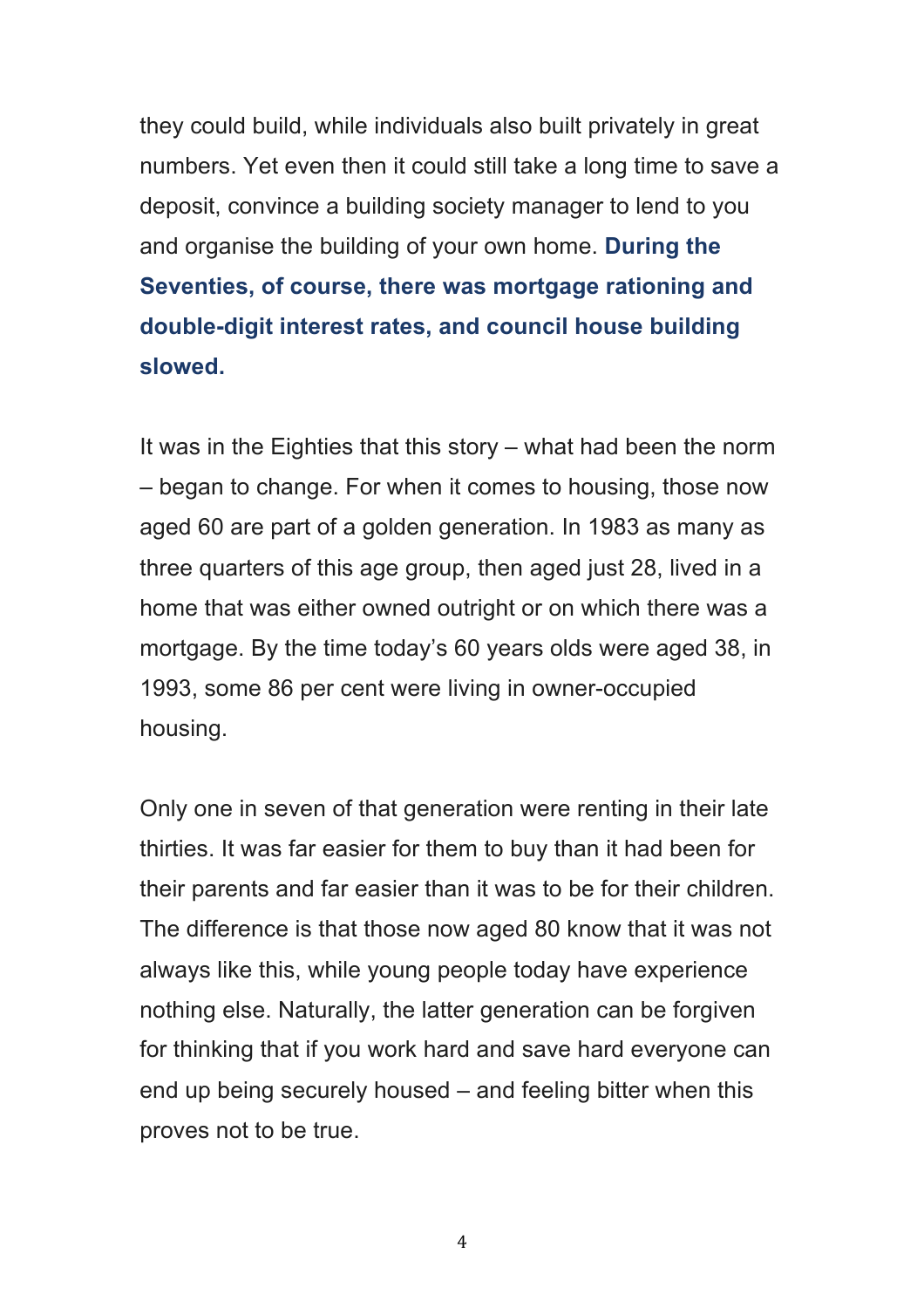they could build, while individuals also built privately in great numbers. Yet even then it could still take a long time to save a deposit, convince a building society manager to lend to you and organise the building of your own home. **During the Seventies, of course, there was mortgage rationing and double-digit interest rates, and council house building slowed.**

It was in the Eighties that this story – what had been the norm – began to change. For when it comes to housing, those now aged 60 are part of a golden generation. In 1983 as many as three quarters of this age group, then aged just 28, lived in a home that was either owned outright or on which there was a mortgage. By the time today's 60 years olds were aged 38, in 1993, some 86 per cent were living in owner-occupied housing.

Only one in seven of that generation were renting in their late thirties. It was far easier for them to buy than it had been for their parents and far easier than it was to be for their children. The difference is that those now aged 80 know that it was not always like this, while young people today have experience nothing else. Naturally, the latter generation can be forgiven for thinking that if you work hard and save hard everyone can end up being securely housed – and feeling bitter when this proves not to be true.

4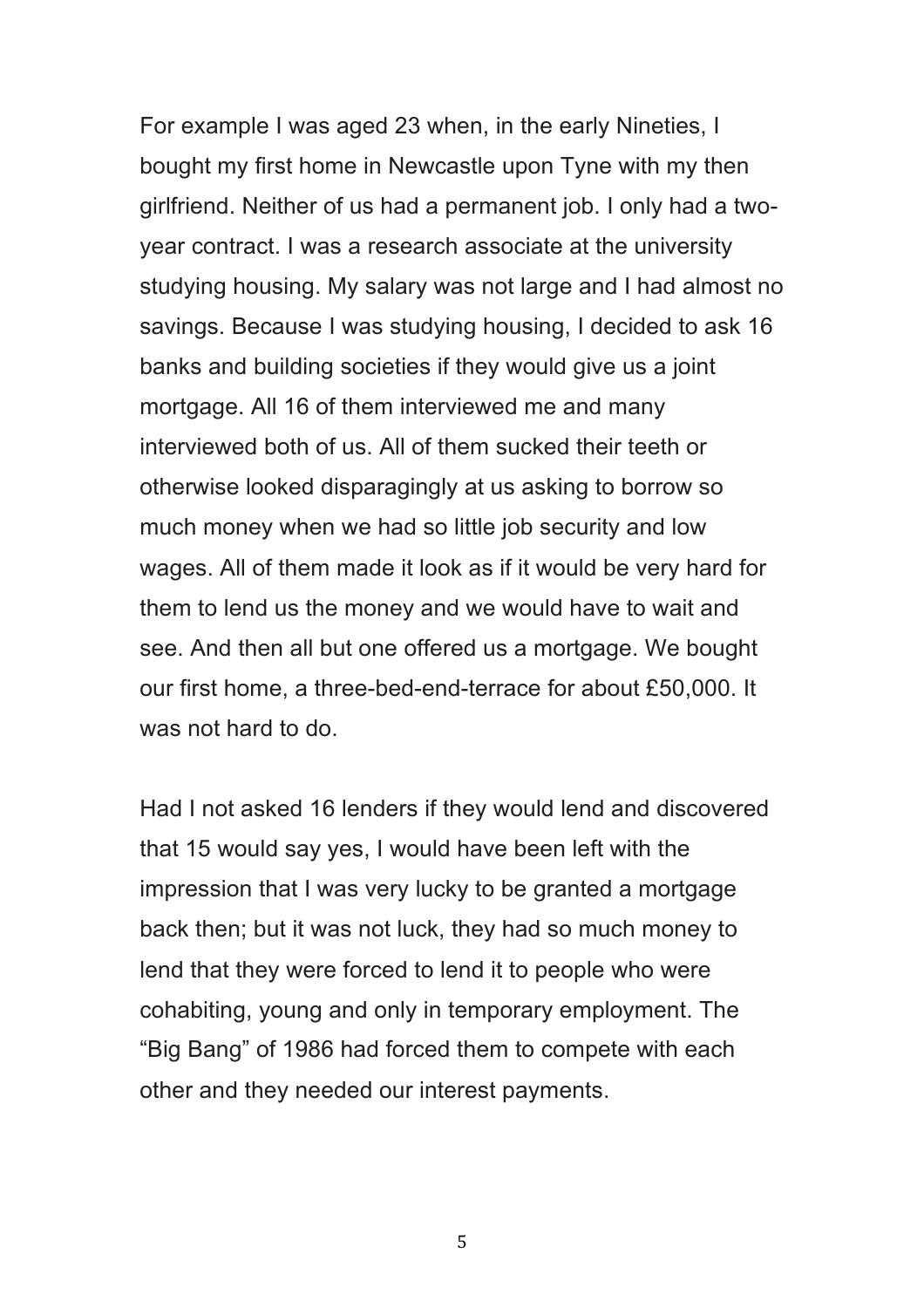For example I was aged 23 when, in the early Nineties, I bought my first home in Newcastle upon Tyne with my then girlfriend. Neither of us had a permanent job. I only had a twoyear contract. I was a research associate at the university studying housing. My salary was not large and I had almost no savings. Because I was studying housing, I decided to ask 16 banks and building societies if they would give us a joint mortgage. All 16 of them interviewed me and many interviewed both of us. All of them sucked their teeth or otherwise looked disparagingly at us asking to borrow so much money when we had so little job security and low wages. All of them made it look as if it would be very hard for them to lend us the money and we would have to wait and see. And then all but one offered us a mortgage. We bought our first home, a three-bed-end-terrace for about £50,000. It was not hard to do.

Had I not asked 16 lenders if they would lend and discovered that 15 would say yes, I would have been left with the impression that I was very lucky to be granted a mortgage back then; but it was not luck, they had so much money to lend that they were forced to lend it to people who were cohabiting, young and only in temporary employment. The "Big Bang" of 1986 had forced them to compete with each other and they needed our interest payments.

5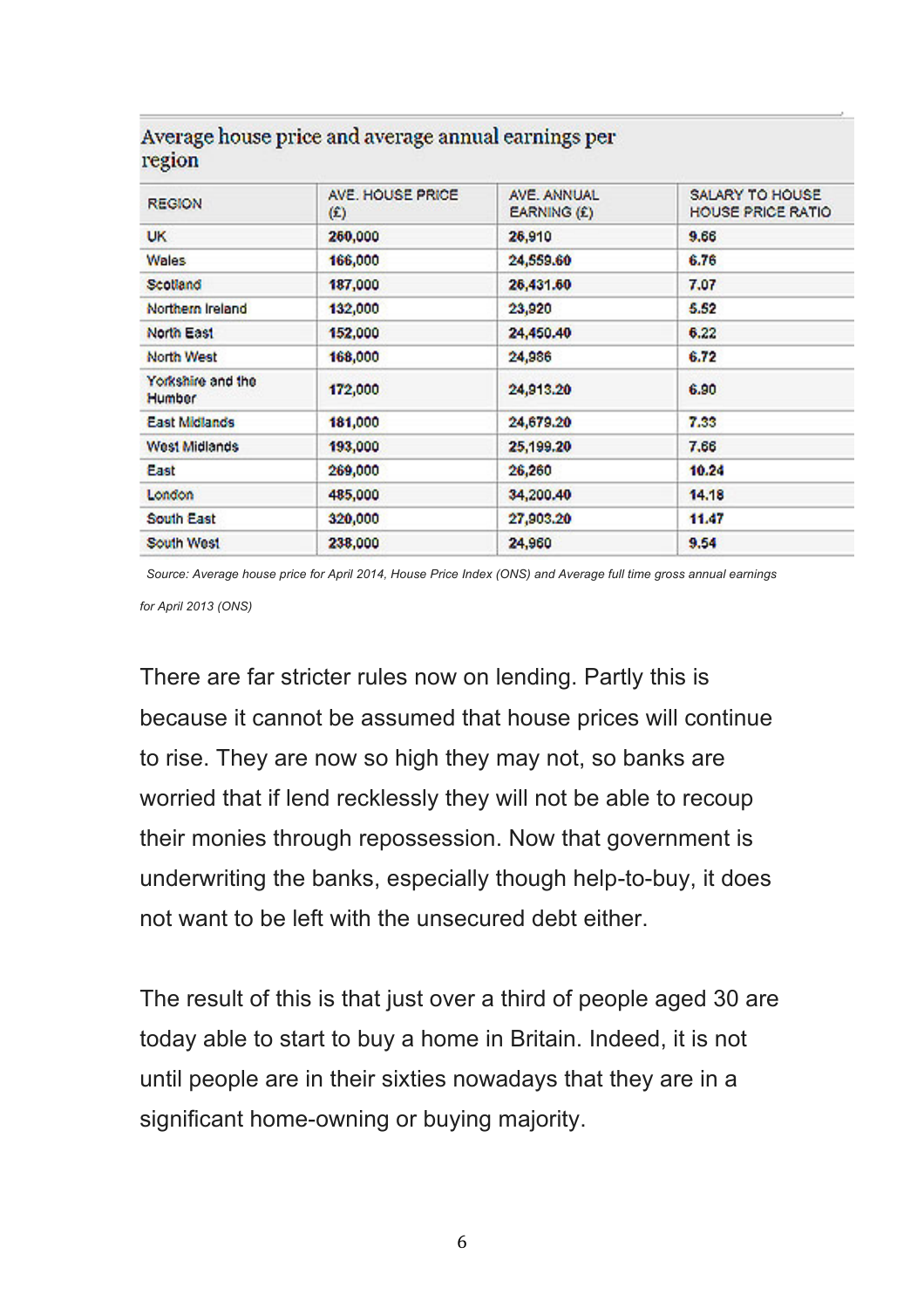| <b>REGION</b>               | AVE, HOUSE PRICE.<br>$\circ$ | AVE, ANNUAL<br>EARNING (£) | SALARY TO HOUSE<br>HOUSE PRICE RATIO |  |  |  |  |
|-----------------------------|------------------------------|----------------------------|--------------------------------------|--|--|--|--|
| UK.                         | 260,000                      | 26,910                     | 9.66                                 |  |  |  |  |
| <b>Wales</b>                | 166,000                      | 24,559.60                  | 6.76                                 |  |  |  |  |
| Scotland                    | 187,000                      | 26,431.60                  | 7.07                                 |  |  |  |  |
| Northern Ireland            | 132,000                      | 23,920                     | 5.52                                 |  |  |  |  |
| North East                  | 152,000                      | 24,450.40                  | 6.22                                 |  |  |  |  |
| North West                  | 168,000                      | 24,986                     | 6.72                                 |  |  |  |  |
| Yorkshire and the<br>Humber | 172,000                      | 24,913.20                  | 6.90                                 |  |  |  |  |
| East Midlands               | 181,000                      | 24,679.20                  | 7.33                                 |  |  |  |  |
| West Midlands               | 193,000                      | 25,199.20                  | 7.66                                 |  |  |  |  |
| East                        | 269,000                      | 26,260                     | 10.24                                |  |  |  |  |
| London                      | 485,000                      | 34,200.40                  | 14.18                                |  |  |  |  |
| South East                  | 320,000                      | 27,903.20                  | 11.47                                |  |  |  |  |
| South West                  | 238,000                      | 24,960                     | 9.54                                 |  |  |  |  |

## Average house price and average annual earnings per region

*Source: Average house price for April 2014, House Price Index (ONS) and Average full time gross annual earnings for April 2013 (ONS)*

There are far stricter rules now on lending. Partly this is because it cannot be assumed that house prices will continue to rise. They are now so high they may not, so banks are worried that if lend recklessly they will not be able to recoup their monies through repossession. Now that government is underwriting the banks, especially though help-to-buy, it does not want to be left with the unsecured debt either.

The result of this is that just over a third of people aged 30 are today able to start to buy a home in Britain. Indeed, it is not until people are in their sixties nowadays that they are in a significant home-owning or buying majority.